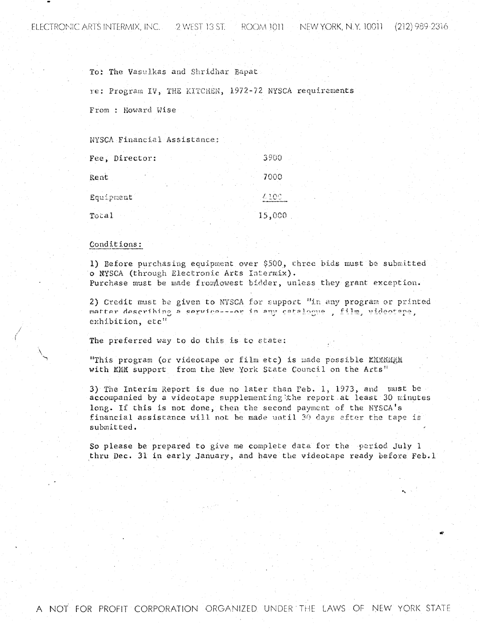ELECTRONIC ARTS INTERMIX, INC.  $= 2$  WEST 13 ST.  $=$  ROOM 1011  $=$  NEW YORK, N.Y. 10011  $=$  (212) 989-2316

To: The Vasulkas and Shridhar Bapat

re: Program IV, THE KITCHEN, 1972-72 NYSCA requirements

From: Howard Wise

NYSCA Financial Assistance:

| Fee, Director: | 3900   |
|----------------|--------|
| Rent           | 7000   |
| Equipment      | 4100   |
| Total          | 15,000 |

## Conditions:

1) Before purchasing equipment over \$500, three bids must be submitted o NYSCA (through Electronic Arts Intermix). Purchase must be made from lowest bidder, unless they grant exception.

2) Credit must be given to NYSCA for support "in any program or printed matter describing a service---or in any catalogue, film, videotape, exhibition, etc"

The preferred way to do this is to state:

"This program (or videotape or film etc) is made possible KNXKMXX with KMM support from the New York State Council on the Arts"

3) The Interim Report is due no later than Feb. 1, 1973, and must be accompanied by a videotape supplementing the report at least 30 minutes long. If this is not done, then the second payment of the NYSCA's financial assistance will not be made until 30 days after the tape is submitted.

So please be prepared to give me complete data for the period July 1 thru Dec. 31 in early January, and have the videotape ready before Feb.1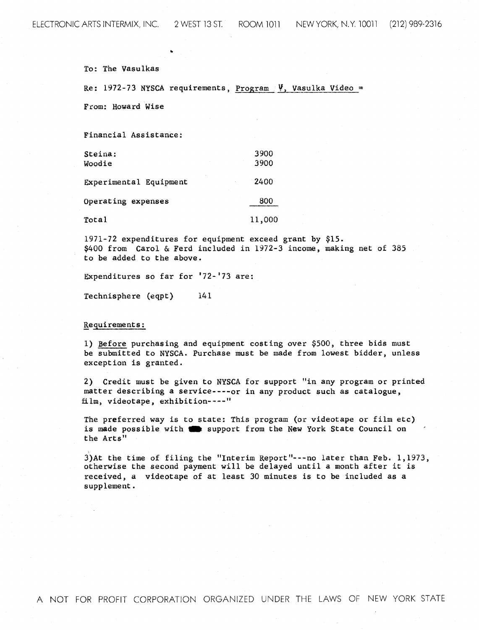To: The Vasulkas

Re: 1972-73 NYSCA requirements, Program  $\Psi$ , Vasulka Video =

From: Howard Wise

Financial Assistance :

Steina: 3900 Woodie 3900 Experimental Equipment 2400 Operating expenses \_\_\_ 80O Total 11,000

0.

1971-72 expenditures for equipment exceed grant by \$15 . \$400 from Carol & Ferd included in 1972-3 income, making net of 385 to be added to the above .

Expenditures so far for '72-'73 are:

Technisphere (eqpt) 141

Requirements :

1) Before purchasing and equipment costing over \$500, three bids must be submitted to NySCA . Purchase must be made from lowest bidder, unless exception is granted .

2) Credit must be given to NYSCA for support "in any program or printed matter describing a service----or in any product such as catalogue, film, videotape, exhibition----"

The preferred way is to state: This program (or videotape or film etc) is made possible with  $\blacksquare$  support from the New York State Council on the Arts"

supplement . 3)At the time of filing the "Interim Report"---no later than Feb.  $1,1973$ , otherwise the second payment will be delayed until a month after it is received, a videotape of at least 30 minutes is to be included as a

A NOT FOR PROFIT CORPORATION ORGANIZED UNDER THE LAWS OF NEW YORK STATE